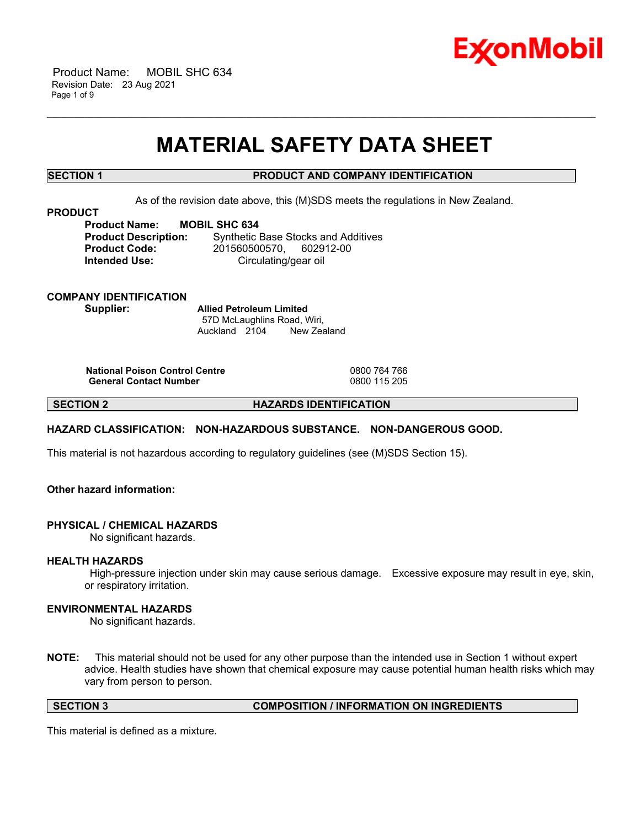

 Product Name: MOBIL SHC 634 Revision Date: 23 Aug 2021 Page 1 of 9

# **MATERIAL SAFETY DATA SHEET**

\_\_\_\_\_\_\_\_\_\_\_\_\_\_\_\_\_\_\_\_\_\_\_\_\_\_\_\_\_\_\_\_\_\_\_\_\_\_\_\_\_\_\_\_\_\_\_\_\_\_\_\_\_\_\_\_\_\_\_\_\_\_\_\_\_\_\_\_\_\_\_\_\_\_\_\_\_\_\_\_\_\_\_\_\_\_\_\_\_\_\_\_\_\_\_\_\_\_\_\_\_\_\_\_\_\_\_\_\_\_\_\_\_\_\_\_\_\_

# **SECTION 1 PRODUCT AND COMPANY IDENTIFICATION**

As of the revision date above, this (M)SDS meets the regulations in New Zealand.

### **PRODUCT**

**Product Name: MOBIL SHC 634**

**Product Description:** Synthetic Base Stocks and Additives **Product Code:** 201560500570, 602912-00 **Intended Use:** Circulating/gear oil

# **COMPANY IDENTIFICATION Supplier: Allied Petroleum Limited**

57D McLaughlins Road, Wiri, Auckland 2104 New Zealand

**National Poison Control Centre** 0800 764 766 **General Contact Number** 

**SECTION 2 HAZARDS IDENTIFICATION**

# **HAZARD CLASSIFICATION: NON-HAZARDOUS SUBSTANCE. NON-DANGEROUS GOOD.**

This material is not hazardous according to regulatory guidelines (see (M)SDS Section 15).

# **Other hazard information:**

### **PHYSICAL / CHEMICAL HAZARDS**

No significant hazards.

### **HEALTH HAZARDS**

High-pressure injection under skin may cause serious damage. Excessive exposure may result in eye, skin, or respiratory irritation.

# **ENVIRONMENTAL HAZARDS**

No significant hazards.

**NOTE:** This material should not be used for any other purpose than the intended use in Section 1 without expert advice. Health studies have shown that chemical exposure may cause potential human health risks which may vary from person to person.

**SECTION 3 COMPOSITION / INFORMATION ON INGREDIENTS**

This material is defined as a mixture.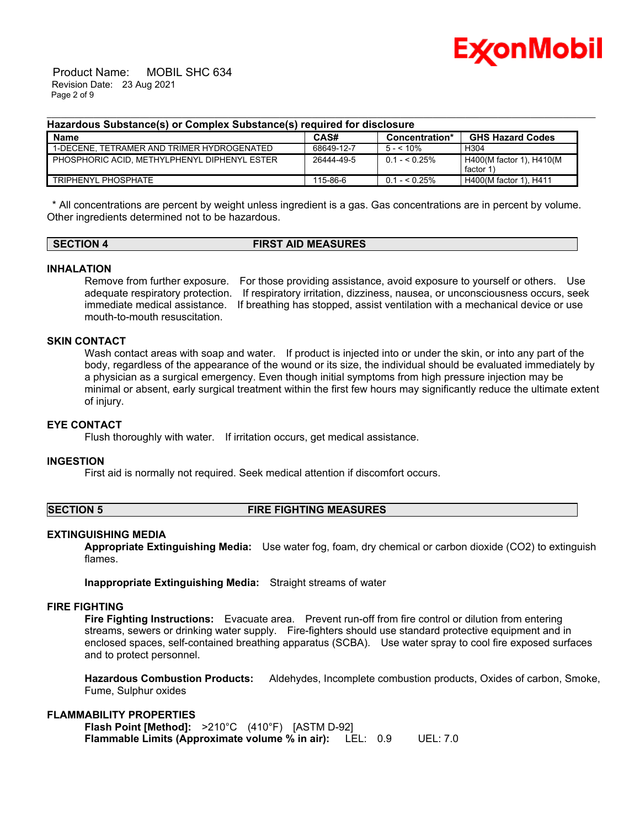

 Product Name: MOBIL SHC 634 Revision Date: 23 Aug 2021 Page 2 of 9

### **Hazardous Substance(s) or Complex Substance(s) required for disclosure**

| <b>Name</b>                                    | CAS#       | Concentration* | <b>GHS Hazard Codes</b>              |
|------------------------------------------------|------------|----------------|--------------------------------------|
| 1-DECENE. TETRAMER AND TRIMER HYDROGENATED     | 68649-12-7 | $5 - 10\%$     | H <sub>304</sub>                     |
| I PHOSPHORIC ACID. METHYLPHENYL DIPHENYL ESTER | 26444-49-5 | $0.1 - 5.25\%$ | H400(M factor 1), H410(M<br>factor 1 |
| TRIPHENYL PHOSPHATE                            | 115-86-6   | $0.1 - 5.25\%$ | H400(M factor 1), H411               |

\_\_\_\_\_\_\_\_\_\_\_\_\_\_\_\_\_\_\_\_\_\_\_\_\_\_\_\_\_\_\_\_\_\_\_\_\_\_\_\_\_\_\_\_\_\_\_\_\_\_\_\_\_\_\_\_\_\_\_\_\_\_\_\_\_\_\_\_\_\_\_\_\_\_\_\_\_\_\_\_\_\_\_\_\_\_\_\_\_\_\_\_\_\_\_\_\_\_\_\_\_\_\_\_\_\_\_\_\_\_\_\_\_\_\_\_\_\_

\* All concentrations are percent by weight unless ingredient is a gas. Gas concentrations are in percent by volume. Other ingredients determined not to be hazardous.

# **SECTION 4 FIRST AID MEASURES**

### **INHALATION**

Remove from further exposure. For those providing assistance, avoid exposure to yourself or others. Use adequate respiratory protection. If respiratory irritation, dizziness, nausea, or unconsciousness occurs, seek immediate medical assistance. If breathing has stopped, assist ventilation with a mechanical device or use mouth-to-mouth resuscitation.

# **SKIN CONTACT**

Wash contact areas with soap and water. If product is injected into or under the skin, or into any part of the body, regardless of the appearance of the wound or its size, the individual should be evaluated immediately by a physician as a surgical emergency. Even though initial symptoms from high pressure injection may be minimal or absent, early surgical treatment within the first few hours may significantly reduce the ultimate extent of injury.

# **EYE CONTACT**

Flush thoroughly with water. If irritation occurs, get medical assistance.

### **INGESTION**

First aid is normally not required. Seek medical attention if discomfort occurs.

### **SECTION 5 FIRE FIGHTING MEASURES**

### **EXTINGUISHING MEDIA**

**Appropriate Extinguishing Media:** Use water fog, foam, dry chemical or carbon dioxide (CO2) to extinguish flames.

**Inappropriate Extinguishing Media:** Straight streams of water

### **FIRE FIGHTING**

**Fire Fighting Instructions:** Evacuate area. Prevent run-off from fire control or dilution from entering streams, sewers or drinking water supply. Fire-fighters should use standard protective equipment and in enclosed spaces, self-contained breathing apparatus (SCBA). Use water spray to cool fire exposed surfaces and to protect personnel.

**Hazardous Combustion Products:** Aldehydes, Incomplete combustion products, Oxides of carbon, Smoke, Fume, Sulphur oxides

### **FLAMMABILITY PROPERTIES**

**Flash Point [Method]:** >210°C (410°F) [ASTM D-92] **Flammable Limits (Approximate volume % in air):** LEL: 0.9 UEL: 7.0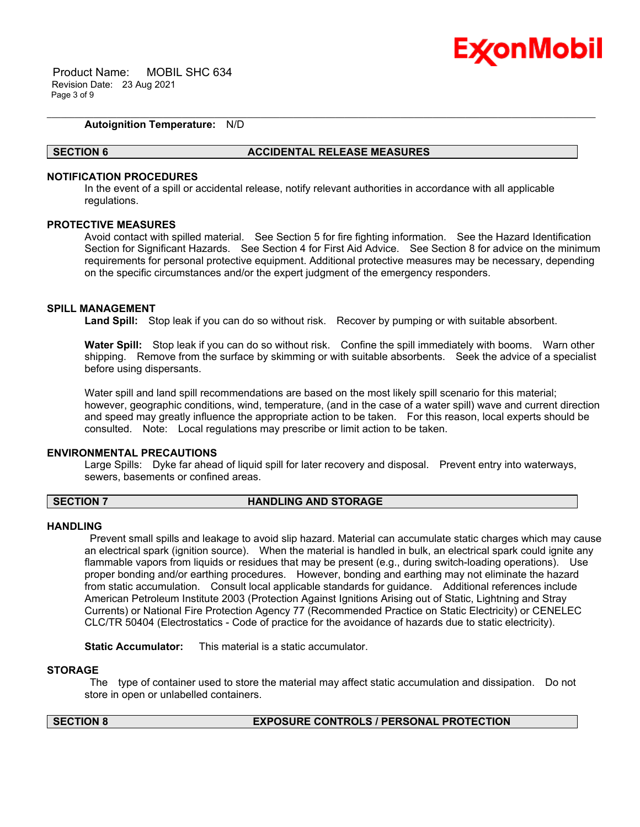

 Product Name: MOBIL SHC 634 Revision Date: 23 Aug 2021 Page 3 of 9

# **Autoignition Temperature:** N/D

#### **SECTION 6 ACCIDENTAL RELEASE MEASURES**

#### **NOTIFICATION PROCEDURES**

In the event of a spill or accidental release, notify relevant authorities in accordance with all applicable regulations.

\_\_\_\_\_\_\_\_\_\_\_\_\_\_\_\_\_\_\_\_\_\_\_\_\_\_\_\_\_\_\_\_\_\_\_\_\_\_\_\_\_\_\_\_\_\_\_\_\_\_\_\_\_\_\_\_\_\_\_\_\_\_\_\_\_\_\_\_\_\_\_\_\_\_\_\_\_\_\_\_\_\_\_\_\_\_\_\_\_\_\_\_\_\_\_\_\_\_\_\_\_\_\_\_\_\_\_\_\_\_\_\_\_\_\_\_\_\_

# **PROTECTIVE MEASURES**

Avoid contact with spilled material. See Section 5 for fire fighting information. See the Hazard Identification Section for Significant Hazards. See Section 4 for First Aid Advice. See Section 8 for advice on the minimum requirements for personal protective equipment. Additional protective measures may be necessary, depending on the specific circumstances and/or the expert judgment of the emergency responders.

#### **SPILL MANAGEMENT**

**Land Spill:** Stop leak if you can do so without risk. Recover by pumping or with suitable absorbent.

**Water Spill:** Stop leak if you can do so without risk. Confine the spill immediately with booms. Warn other shipping. Remove from the surface by skimming or with suitable absorbents. Seek the advice of a specialist before using dispersants.

Water spill and land spill recommendations are based on the most likely spill scenario for this material; however, geographic conditions, wind, temperature, (and in the case of a water spill) wave and current direction and speed may greatly influence the appropriate action to be taken. For this reason, local experts should be consulted. Note: Local regulations may prescribe or limit action to be taken.

#### **ENVIRONMENTAL PRECAUTIONS**

Large Spills: Dyke far ahead of liquid spill for later recovery and disposal. Prevent entry into waterways, sewers, basements or confined areas.

#### **SECTION 7 HANDLING AND STORAGE**

### **HANDLING**

Prevent small spills and leakage to avoid slip hazard. Material can accumulate static charges which may cause an electrical spark (ignition source). When the material is handled in bulk, an electrical spark could ignite any flammable vapors from liquids or residues that may be present (e.g., during switch-loading operations). Use proper bonding and/or earthing procedures. However, bonding and earthing may not eliminate the hazard from static accumulation. Consult local applicable standards for guidance. Additional references include American Petroleum Institute 2003 (Protection Against Ignitions Arising out of Static, Lightning and Stray Currents) or National Fire Protection Agency 77 (Recommended Practice on Static Electricity) or CENELEC CLC/TR 50404 (Electrostatics - Code of practice for the avoidance of hazards due to static electricity).

**Static Accumulator:** This material is a static accumulator.

#### **STORAGE**

The type of container used to store the material may affect static accumulation and dissipation. Do not store in open or unlabelled containers.

# **SECTION 8 EXPOSURE CONTROLS / PERSONAL PROTECTION**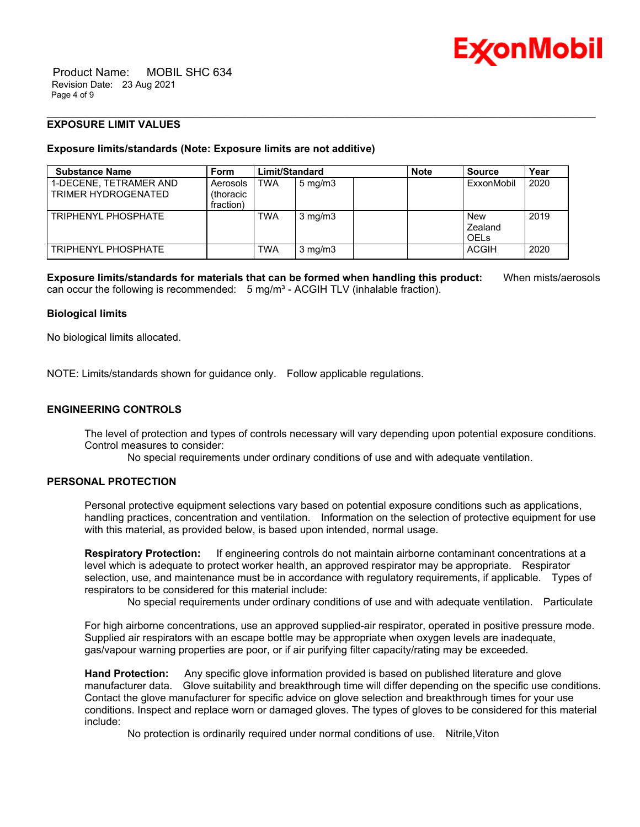

 Product Name: MOBIL SHC 634 Revision Date: 23 Aug 2021 Page 4 of 9

# **EXPOSURE LIMIT VALUES**

# **Exposure limits/standards (Note: Exposure limits are not additive)**

| <b>Substance Name</b>                         | <b>Form</b>                                | Limit/Standard |                  | <b>Note</b> | <b>Source</b>                 | Year |
|-----------------------------------------------|--------------------------------------------|----------------|------------------|-------------|-------------------------------|------|
| 1-DECENE. TETRAMER AND<br>TRIMER HYDROGENATED | Aerosols<br><i>(thoracic)</i><br>fraction) | <b>TWA</b>     | $5 \text{ mg/m}$ |             | ExxonMobil                    | 2020 |
| TRIPHENYI PHOSPHATE                           |                                            | <b>TWA</b>     | $3 \text{ mg/m}$ |             | New<br>Zealand<br><b>OELS</b> | 2019 |
| TRIPHENYL PHOSPHATE                           |                                            | <b>TWA</b>     | $3 \text{ mg/m}$ |             | <b>ACGIH</b>                  | 2020 |

\_\_\_\_\_\_\_\_\_\_\_\_\_\_\_\_\_\_\_\_\_\_\_\_\_\_\_\_\_\_\_\_\_\_\_\_\_\_\_\_\_\_\_\_\_\_\_\_\_\_\_\_\_\_\_\_\_\_\_\_\_\_\_\_\_\_\_\_\_\_\_\_\_\_\_\_\_\_\_\_\_\_\_\_\_\_\_\_\_\_\_\_\_\_\_\_\_\_\_\_\_\_\_\_\_\_\_\_\_\_\_\_\_\_\_\_\_\_

**Exposure limits/standards for materials that can be formed when handling this product:** When mists/aerosols can occur the following is recommended:  $5 \text{ ma/m}^3$  - ACGIH TLV (inhalable fraction).

# **Biological limits**

No biological limits allocated.

NOTE: Limits/standards shown for guidance only. Follow applicable regulations.

# **ENGINEERING CONTROLS**

The level of protection and types of controls necessary will vary depending upon potential exposure conditions. Control measures to consider:

No special requirements under ordinary conditions of use and with adequate ventilation.

# **PERSONAL PROTECTION**

Personal protective equipment selections vary based on potential exposure conditions such as applications, handling practices, concentration and ventilation. Information on the selection of protective equipment for use with this material, as provided below, is based upon intended, normal usage.

**Respiratory Protection:** If engineering controls do not maintain airborne contaminant concentrations at a level which is adequate to protect worker health, an approved respirator may be appropriate. Respirator selection, use, and maintenance must be in accordance with regulatory requirements, if applicable. Types of respirators to be considered for this material include:

No special requirements under ordinary conditions of use and with adequate ventilation. Particulate

For high airborne concentrations, use an approved supplied-air respirator, operated in positive pressure mode. Supplied air respirators with an escape bottle may be appropriate when oxygen levels are inadequate, gas/vapour warning properties are poor, or if air purifying filter capacity/rating may be exceeded.

**Hand Protection:** Any specific glove information provided is based on published literature and glove manufacturer data. Glove suitability and breakthrough time will differ depending on the specific use conditions. Contact the glove manufacturer for specific advice on glove selection and breakthrough times for your use conditions. Inspect and replace worn or damaged gloves. The types of gloves to be considered for this material include:

No protection is ordinarily required under normal conditions of use. Nitrile,Viton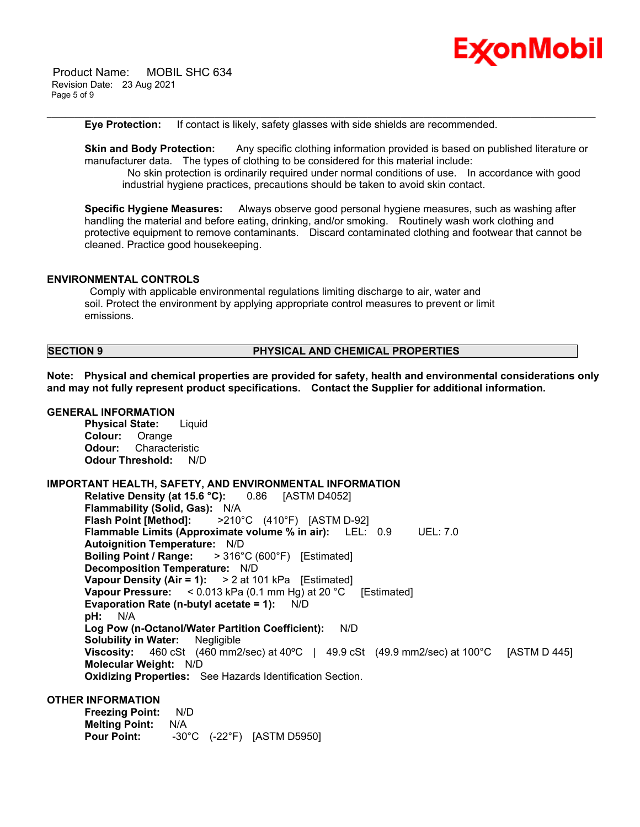

 Product Name: MOBIL SHC 634 Revision Date: 23 Aug 2021 Page 5 of 9

**Eye Protection:** If contact is likely, safety glasses with side shields are recommended.

**Skin and Body Protection:** Any specific clothing information provided is based on published literature or manufacturer data. The types of clothing to be considered for this material include: No skin protection is ordinarily required under normal conditions of use. In accordance with good industrial hygiene practices, precautions should be taken to avoid skin contact.

\_\_\_\_\_\_\_\_\_\_\_\_\_\_\_\_\_\_\_\_\_\_\_\_\_\_\_\_\_\_\_\_\_\_\_\_\_\_\_\_\_\_\_\_\_\_\_\_\_\_\_\_\_\_\_\_\_\_\_\_\_\_\_\_\_\_\_\_\_\_\_\_\_\_\_\_\_\_\_\_\_\_\_\_\_\_\_\_\_\_\_\_\_\_\_\_\_\_\_\_\_\_\_\_\_\_\_\_\_\_\_\_\_\_\_\_\_\_

**Specific Hygiene Measures:** Always observe good personal hygiene measures, such as washing after handling the material and before eating, drinking, and/or smoking. Routinely wash work clothing and protective equipment to remove contaminants. Discard contaminated clothing and footwear that cannot be cleaned. Practice good housekeeping.

# **ENVIRONMENTAL CONTROLS**

Comply with applicable environmental regulations limiting discharge to air, water and soil. Protect the environment by applying appropriate control measures to prevent or limit emissions.

# **SECTION 9 PHYSICAL AND CHEMICAL PROPERTIES**

**Note: Physical and chemical properties are provided for safety, health and environmental considerations only and may not fully represent product specifications. Contact the Supplier for additional information.**

#### **GENERAL INFORMATION**

**Physical State:** Liquid **Colour:** Orange **Odour:** Characteristic **Odour Threshold:** N/D

# **IMPORTANT HEALTH, SAFETY, AND ENVIRONMENTAL INFORMATION**

**Relative Density (at 15.6 °C):** 0.86 [ASTM D4052] **Flammability (Solid, Gas):** N/A **Flash Point [Method]:** >210°C (410°F) [ASTM D-92] **Flammable Limits (Approximate volume % in air):** LEL: 0.9 UEL: 7.0 **Autoignition Temperature:** N/D **Boiling Point / Range:** > 316°C (600°F) [Estimated] **Decomposition Temperature:** N/D **Vapour Density (Air = 1):** > 2 at 101 kPa [Estimated] **Vapour Pressure:** < 0.013 kPa (0.1 mm Hg) at 20 °C [Estimated] **Evaporation Rate (n-butyl acetate = 1):** N/D **pH:** N/A **Log Pow (n-Octanol/Water Partition Coefficient):** N/D **Solubility in Water:** Negligible **Viscosity:** 460 cSt (460 mm2/sec) at 40ºC | 49.9 cSt (49.9 mm2/sec) at 100°C [ASTM D 445] **Molecular Weight:** N/D **Oxidizing Properties:** See Hazards Identification Section.

# **OTHER INFORMATION**

**Freezing Point:** N/D **Melting Point:** N/A **Pour Point:** -30°C (-22°F) [ASTM D5950]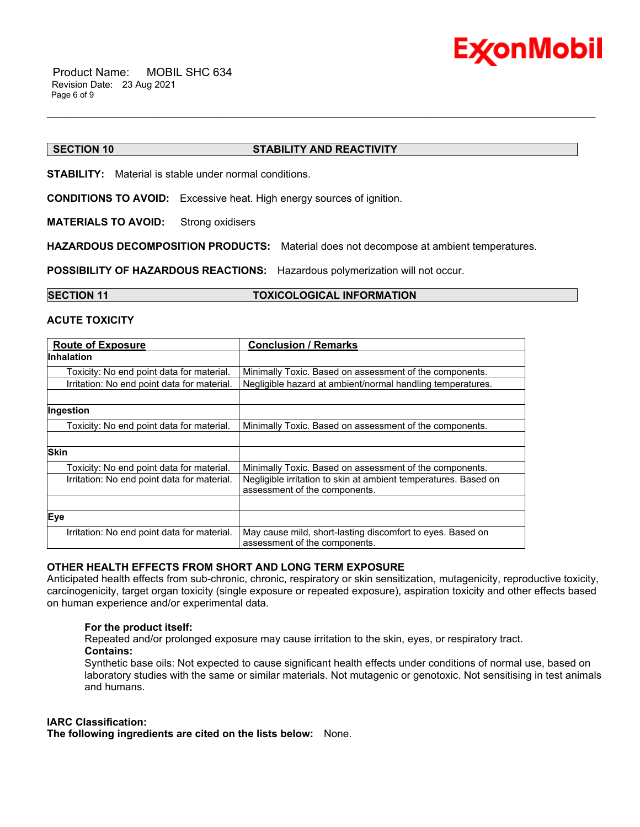

# **SECTION 10 STABILITY AND REACTIVITY**

**STABILITY:** Material is stable under normal conditions.

**CONDITIONS TO AVOID:** Excessive heat. High energy sources of ignition.

**MATERIALS TO AVOID:** Strong oxidisers

**HAZARDOUS DECOMPOSITION PRODUCTS:** Material does not decompose at ambient temperatures.

\_\_\_\_\_\_\_\_\_\_\_\_\_\_\_\_\_\_\_\_\_\_\_\_\_\_\_\_\_\_\_\_\_\_\_\_\_\_\_\_\_\_\_\_\_\_\_\_\_\_\_\_\_\_\_\_\_\_\_\_\_\_\_\_\_\_\_\_\_\_\_\_\_\_\_\_\_\_\_\_\_\_\_\_\_\_\_\_\_\_\_\_\_\_\_\_\_\_\_\_\_\_\_\_\_\_\_\_\_\_\_\_\_\_\_\_\_\_

**POSSIBILITY OF HAZARDOUS REACTIONS:** Hazardous polymerization will not occur.

### **SECTION 11 TOXICOLOGICAL INFORMATION**

# **ACUTE TOXICITY**

| <b>Route of Exposure</b>                    | <b>Conclusion / Remarks</b>                                     |
|---------------------------------------------|-----------------------------------------------------------------|
| <b>Inhalation</b>                           |                                                                 |
| Toxicity: No end point data for material.   | Minimally Toxic. Based on assessment of the components.         |
| Irritation: No end point data for material. | Negligible hazard at ambient/normal handling temperatures.      |
|                                             |                                                                 |
| Ingestion                                   |                                                                 |
| Toxicity: No end point data for material.   | Minimally Toxic. Based on assessment of the components.         |
|                                             |                                                                 |
| <b>Skin</b>                                 |                                                                 |
| Toxicity: No end point data for material.   | Minimally Toxic. Based on assessment of the components.         |
| Irritation: No end point data for material. | Negligible irritation to skin at ambient temperatures. Based on |
|                                             | assessment of the components.                                   |
|                                             |                                                                 |
| Eye                                         |                                                                 |
| Irritation: No end point data for material. | May cause mild, short-lasting discomfort to eyes. Based on      |
|                                             | assessment of the components.                                   |

# **OTHER HEALTH EFFECTS FROM SHORT AND LONG TERM EXPOSURE**

Anticipated health effects from sub-chronic, chronic, respiratory or skin sensitization, mutagenicity, reproductive toxicity, carcinogenicity, target organ toxicity (single exposure or repeated exposure), aspiration toxicity and other effects based on human experience and/or experimental data.

# **For the product itself:**

Repeated and/or prolonged exposure may cause irritation to the skin, eyes, or respiratory tract. **Contains:**

Synthetic base oils: Not expected to cause significant health effects under conditions of normal use, based on laboratory studies with the same or similar materials. Not mutagenic or genotoxic. Not sensitising in test animals and humans.

### **IARC Classification:**

**The following ingredients are cited on the lists below:** None.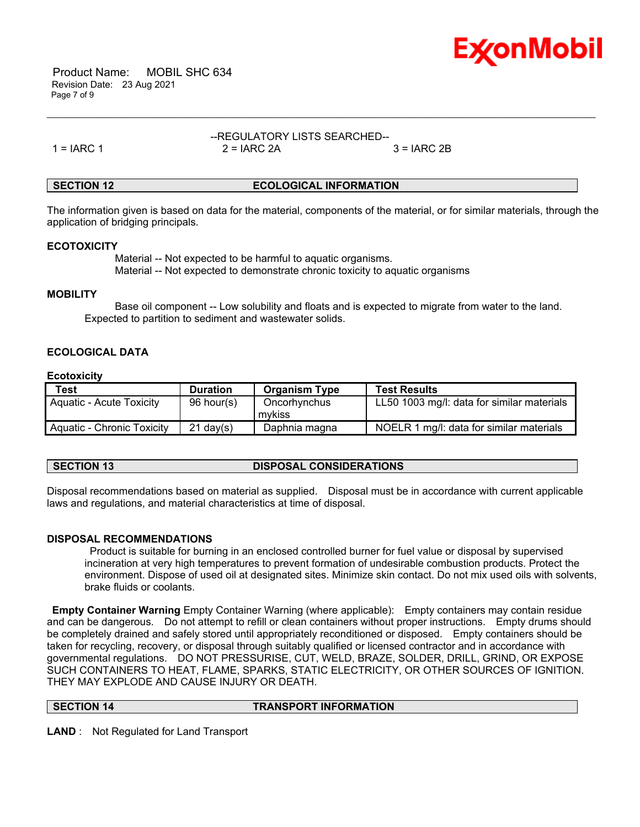

 Product Name: MOBIL SHC 634 Revision Date: 23 Aug 2021 Page 7 of 9

#### --REGULATORY LISTS SEARCHED-- 1 = IARC 1 2 = IARC 2A 3 = IARC 2B

\_\_\_\_\_\_\_\_\_\_\_\_\_\_\_\_\_\_\_\_\_\_\_\_\_\_\_\_\_\_\_\_\_\_\_\_\_\_\_\_\_\_\_\_\_\_\_\_\_\_\_\_\_\_\_\_\_\_\_\_\_\_\_\_\_\_\_\_\_\_\_\_\_\_\_\_\_\_\_\_\_\_\_\_\_\_\_\_\_\_\_\_\_\_\_\_\_\_\_\_\_\_\_\_\_\_\_\_\_\_\_\_\_\_\_\_\_\_

# **SECTION 12 ECOLOGICAL INFORMATION**

The information given is based on data for the material, components of the material, or for similar materials, through the application of bridging principals.

# **ECOTOXICITY**

 Material -- Not expected to be harmful to aquatic organisms. Material -- Not expected to demonstrate chronic toxicity to aquatic organisms

# **MOBILITY**

 Base oil component -- Low solubility and floats and is expected to migrate from water to the land. Expected to partition to sediment and wastewater solids.

# **ECOLOGICAL DATA**

# **Ecotoxicity**

| <b>Test</b>                     | <b>Duration</b> | <b>Organism Type</b>   | <b>Test Results</b>                        |
|---------------------------------|-----------------|------------------------|--------------------------------------------|
| <b>Aquatic - Acute Toxicity</b> | 96 hour(s)      | Oncorhynchus<br>mvkiss | LL50 1003 mg/l: data for similar materials |
| Aquatic - Chronic Toxicity      | $21$ dav(s)     | Daphnia magna          | NOELR 1 mg/l: data for similar materials   |

**SECTION 13 DISPOSAL CONSIDERATIONS**

Disposal recommendations based on material as supplied. Disposal must be in accordance with current applicable laws and regulations, and material characteristics at time of disposal.

# **DISPOSAL RECOMMENDATIONS**

Product is suitable for burning in an enclosed controlled burner for fuel value or disposal by supervised incineration at very high temperatures to prevent formation of undesirable combustion products. Protect the environment. Dispose of used oil at designated sites. Minimize skin contact. Do not mix used oils with solvents, brake fluids or coolants.

**Empty Container Warning** Empty Container Warning (where applicable): Empty containers may contain residue and can be dangerous. Do not attempt to refill or clean containers without proper instructions. Empty drums should be completely drained and safely stored until appropriately reconditioned or disposed. Empty containers should be taken for recycling, recovery, or disposal through suitably qualified or licensed contractor and in accordance with governmental regulations. DO NOT PRESSURISE, CUT, WELD, BRAZE, SOLDER, DRILL, GRIND, OR EXPOSE SUCH CONTAINERS TO HEAT, FLAME, SPARKS, STATIC ELECTRICITY, OR OTHER SOURCES OF IGNITION. THEY MAY EXPLODE AND CAUSE INJURY OR DEATH.

**SECTION 14 TRANSPORT INFORMATION**

**LAND** : Not Regulated for Land Transport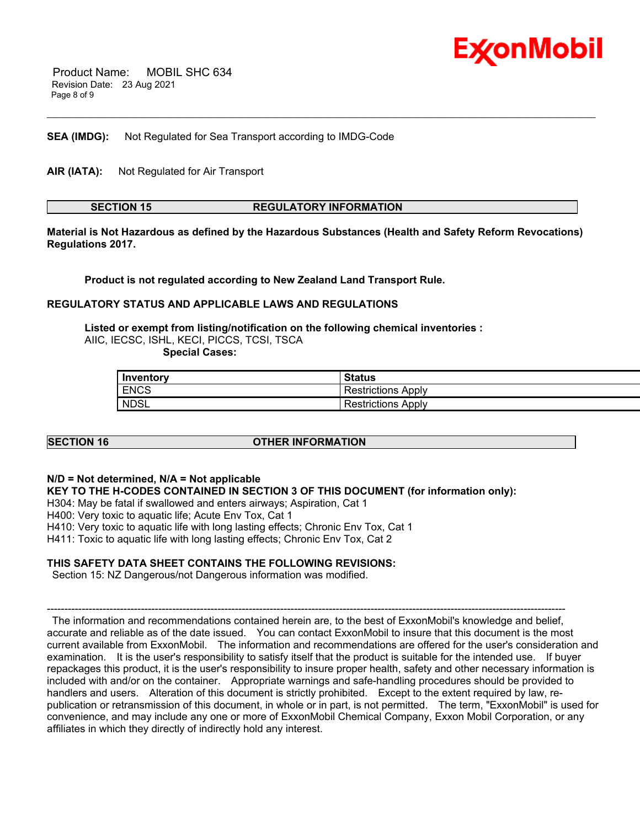

 Product Name: MOBIL SHC 634 Revision Date: 23 Aug 2021 Page 8 of 9

**SEA (IMDG):** Not Regulated for Sea Transport according to IMDG-Code

**AIR (IATA):** Not Regulated for Air Transport

**SECTION 15 REGULATORY INFORMATION**

\_\_\_\_\_\_\_\_\_\_\_\_\_\_\_\_\_\_\_\_\_\_\_\_\_\_\_\_\_\_\_\_\_\_\_\_\_\_\_\_\_\_\_\_\_\_\_\_\_\_\_\_\_\_\_\_\_\_\_\_\_\_\_\_\_\_\_\_\_\_\_\_\_\_\_\_\_\_\_\_\_\_\_\_\_\_\_\_\_\_\_\_\_\_\_\_\_\_\_\_\_\_\_\_\_\_\_\_\_\_\_\_\_\_\_\_\_\_

**Material is Not Hazardous as defined by the Hazardous Substances (Health and Safety Reform Revocations) Regulations 2017.**

**Product is not regulated according to New Zealand Land Transport Rule.**

# **REGULATORY STATUS AND APPLICABLE LAWS AND REGULATIONS**

**Listed or exempt from listing/notification on the following chemical inventories :**  AIIC, IECSC, ISHL, KECI, PICCS, TCSI, TSCA  **Special Cases:**

| Inventory   | <b>Status</b>         |
|-------------|-----------------------|
| <b>ENCS</b> | Apply<br>Restrictions |
| <b>NDSL</b> | Restrictions Apply    |

# **SECTION 16 OTHER INFORMATION**

### **N/D = Not determined, N/A = Not applicable**

**KEY TO THE H-CODES CONTAINED IN SECTION 3 OF THIS DOCUMENT (for information only):**

H304: May be fatal if swallowed and enters airways; Aspiration, Cat 1

H400: Very toxic to aquatic life; Acute Env Tox, Cat 1

H410: Very toxic to aquatic life with long lasting effects; Chronic Env Tox, Cat 1

H411: Toxic to aquatic life with long lasting effects; Chronic Env Tox, Cat 2

### **THIS SAFETY DATA SHEET CONTAINS THE FOLLOWING REVISIONS:**

Section 15: NZ Dangerous/not Dangerous information was modified.

----------------------------------------------------------------------------------------------------------------------------------------------------- The information and recommendations contained herein are, to the best of ExxonMobil's knowledge and belief, accurate and reliable as of the date issued. You can contact ExxonMobil to insure that this document is the most current available from ExxonMobil. The information and recommendations are offered for the user's consideration and examination. It is the user's responsibility to satisfy itself that the product is suitable for the intended use. If buyer repackages this product, it is the user's responsibility to insure proper health, safety and other necessary information is included with and/or on the container. Appropriate warnings and safe-handling procedures should be provided to handlers and users. Alteration of this document is strictly prohibited. Except to the extent required by law, republication or retransmission of this document, in whole or in part, is not permitted. The term, "ExxonMobil" is used for convenience, and may include any one or more of ExxonMobil Chemical Company, Exxon Mobil Corporation, or any affiliates in which they directly of indirectly hold any interest.